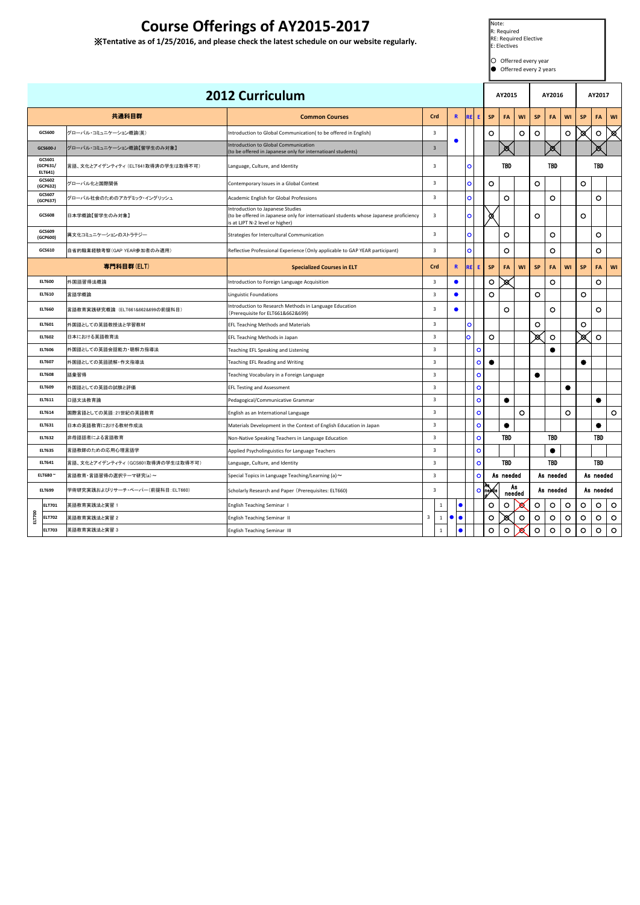| 共通科目群         |                               |                                    | <b>2012 Curriculum</b>                                                                                                                                       |                         |                   |                        |                 |               | AY2015     |              |           | AY2016     |           |           | AY2017     |         |  |
|---------------|-------------------------------|------------------------------------|--------------------------------------------------------------------------------------------------------------------------------------------------------------|-------------------------|-------------------|------------------------|-----------------|---------------|------------|--------------|-----------|------------|-----------|-----------|------------|---------|--|
|               |                               |                                    | <b>Common Courses</b>                                                                                                                                        | Crd                     |                   | $\mathbf{R}$           | <b>RE</b><br>E. | <b>SP</b>     | FA         | WI           | <b>SP</b> | FA         | WI        | <b>SP</b> | <b>FA</b>  | WI      |  |
|               | GCS600                        | グローバル・コミュニケーション概論(英)               | Introduction to Global Communication( to be offered in English)                                                                                              | $\overline{\mathbf{3}}$ |                   |                        |                 | $\circ$       |            | $\circ$      | $\circ$   |            | $\circ$   | ⊠         | $\circ$    | 図       |  |
|               | GCS600-J                      | グローバル・コミュニケーション概論【留学生のみ対象】         | Introduction to Global Communication<br>(to be offered in Japanese only for internatioanl students)                                                          | $\overline{3}$          |                   |                        |                 |               | Ø.         |              |           | ⊠          |           |           | ▩          |         |  |
|               | GCS601<br>(GCP631/<br>ELT641) | 言語、文化とアイデンティティ (ELT641取得済の学生は取得不可) | Language, Culture, and Identity                                                                                                                              | $\overline{\mathbf{3}}$ |                   |                        | $\circ$         |               | <b>TBD</b> |              |           | <b>TBD</b> |           |           | <b>TBD</b> |         |  |
|               | GCS602<br>(GCP632)            | グローバル化と国際関係                        | Contemporary Issues in a Global Context                                                                                                                      | $\overline{3}$          |                   |                        | $\bullet$       | $\circ$       |            |              | $\circ$   |            |           | O         |            |         |  |
|               | GCS607<br>(GCP637)            | グローバル社会のためのアカデミック・イングリッシュ          | Academic English for Global Professions                                                                                                                      | $\overline{\mathbf{3}}$ |                   |                        | $\mathbf{o}$    |               | $\circ$    |              |           | $\circ$    |           |           | $\circ$    |         |  |
|               | GCS608                        | 日本学概論【留学生のみ対象】                     | Introduction to Japanese Studies<br>(to be offered in Japanese only for internatioanl students whose Japanese proficiency<br>is at LJPT N-2 level or higher) | $\overline{\mathbf{3}}$ |                   |                        | $\mathbf{o}$    | ∞             |            |              | $\circ$   |            |           | $\circ$   |            |         |  |
|               | GCS609<br>(GCP600)            | 異文化コミュニケーションのストラテジー                | Strategies for Intercultural Communication                                                                                                                   | $\overline{\mathbf{3}}$ |                   |                        | $\circ$         |               | $\circ$    |              |           | $\circ$    |           |           | $\circ$    |         |  |
|               | GCS610                        | 自省的職業経験考察(GAP YEAR参加者のみ適用)         | Reflective Professional Experience (Only applicable to GAP YEAR participant)                                                                                 | $\overline{\mathbf{3}}$ |                   |                        | $\circ$         |               | $\circ$    |              |           | $\circ$    |           |           | $\circ$    |         |  |
|               |                               | 専門科目群(ELT)                         | <b>Specialized Courses in ELT</b>                                                                                                                            | Crd                     |                   | $\mathbf{R}$           | <b>RE</b><br>E. | <b>SP</b>     | FA         | WI           | <b>SP</b> | <b>FA</b>  | WI        | <b>SP</b> | <b>FA</b>  | WI      |  |
|               | <b>ELT600</b>                 | 外国語習得法概論                           | Introduction to Foreign Language Acquisition                                                                                                                 | $\overline{\mathbf{3}}$ |                   | $\bullet$              |                 | $\circ$       | M          |              |           | $\circ$    |           |           | $\circ$    |         |  |
|               | <b>ELT610</b>                 | 言語学概論                              | Linguistic Foundations                                                                                                                                       | $\overline{\mathbf{3}}$ |                   |                        |                 | $\circ$       |            |              | $\circ$   |            |           | $\circ$   |            |         |  |
|               | <b>ELT660</b>                 | 言語教育実践研究概論(ELT661&662&699の前提科目)    | Introduction to Research Methods in Language Education<br>(Prerequisite for ELT661&662&699)                                                                  | $\overline{3}$          |                   | $\bullet$              |                 |               | $\circ$    |              |           | $\circ$    |           |           | $\circ$    |         |  |
|               | ELT601                        | 外国語としての英語教授法と学習教材                  | <b>EFL Teaching Methods and Materials</b>                                                                                                                    | $\overline{\mathbf{3}}$ |                   |                        | $\bullet$       |               |            |              | $\circ$   |            |           | $\circ$   |            |         |  |
|               | <b>ELT602</b>                 | 日本における英語教育法                        | EFL Teaching Methods in Japan                                                                                                                                | $\overline{3}$          |                   |                        | $\mathbf{o}$    | $\circ$       |            |              | ⊠         | $\circ$    |           | ିଷ        | $\circ$    |         |  |
|               | <b>ELT606</b>                 | 外国語としての英語会話能力・聴解力指導法               | Teaching EFL Speaking and Listening                                                                                                                          | $\overline{\mathbf{3}}$ |                   |                        | $\circ$         |               |            |              |           | 0          |           |           |            |         |  |
|               | <b>ELT607</b>                 | 外国語としての英語読解・作文指導法                  | Teaching EFL Reading and Writing                                                                                                                             | $\overline{\mathbf{3}}$ |                   |                        | $\circ$         | $\bullet$     |            |              |           |            |           | 0         |            |         |  |
|               | <b>ELT608</b>                 | 語彙習得                               | Teaching Vocabulary in a Foreign Language                                                                                                                    | $\overline{\mathbf{3}}$ |                   |                        | $\circ$         |               |            |              | 0         |            |           |           |            |         |  |
|               | <b>ELT609</b>                 | 外国語としての英語の試験と評価                    | <b>EFL Testing and Assessment</b>                                                                                                                            | $\overline{\mathbf{3}}$ |                   |                        | $\circ$         |               |            |              |           |            | $\bullet$ |           |            |         |  |
|               | ELT611                        | 口語文法教育論                            | Pedagogical/Communicative Grammar                                                                                                                            | $\overline{3}$          |                   |                        | $\circ$         |               | $\bullet$  |              |           |            |           |           |            |         |  |
|               | ELT614                        | 国際言語としての英語:21世紀の英語教育               | English as an International Language                                                                                                                         | 3                       |                   |                        | $\circ$         |               |            | O            |           |            | $\circ$   |           |            | $\circ$ |  |
|               | ELT631                        | 日本の英語教育における教材作成法                   | Materials Development in the Context of English Education in Japan                                                                                           | 3                       |                   |                        | o               |               | ▼          |              |           |            |           |           |            |         |  |
| <b>ELT632</b> |                               | 非母語話者による言語教育                       | Non-Native Speaking Teachers in Language Education                                                                                                           | $\overline{3}$          |                   |                        | $\circ$         |               | <b>TBD</b> |              |           | TBD        |           |           | <b>TBD</b> |         |  |
| <b>ELT635</b> |                               | 言語教師のための応用心理言語学                    | Applied Psycholinguistics for Language Teachers                                                                                                              |                         | 3                 |                        | $\mathbf{o}$    |               |            |              |           | $\bullet$  |           |           |            |         |  |
| ELT641        |                               | 言語、文化とアイデンティティ (GCS601取得済の学生は取得不可) | Language, Culture, and Identity                                                                                                                              | 3                       |                   |                        | $\circ$         |               | TBD        |              |           | TBD        |           |           | TBD        |         |  |
| ELT680 ~      |                               | 言語教育・言語習得の選択テーマ研究(a)~              | Special Topics in Language Teaching/Learning (a) $\sim$                                                                                                      |                         | $\mathbf{o}$<br>3 |                        | As needed       |               | As needed  |              |           | As needed  |           |           |            |         |  |
| <b>ELT699</b> |                               | 学術研究実践およびリサーチ・ペーパー(前提科目:ELT660)    | Scholarly Research and Paper (Prerequisites: ELT660)                                                                                                         |                         | 3                 |                        |                 | $\frac{1}{2}$ |            | As<br>needed |           | As needed  |           |           | As needed  |         |  |
|               | <b>ELT701</b>                 | 英語教育実践法と実習 1                       | English Teaching Seminar I                                                                                                                                   |                         | $\mathbf{1}$      | $\bullet$              |                 | $\circ$       | $\circ$    | Х            | $\circ$   | $\circ$    | $\circ$   | $\circ$   | $\circ$    | $\circ$ |  |
| ELT700        | <b>ELT702</b>                 | 英語教育実践法と実習 2                       | English Teaching Seminar II                                                                                                                                  | $\overline{3}$          | 1                 | $\bullet$<br>$\bullet$ |                 | $\circ$       | œ          | O            | $\circ$   | $\circ$    | $\circ$   | $\circ$   | $\circ$    | $\circ$ |  |
|               | <b>ELT703</b>                 | 英語教育実践法と実習 3                       | English Teaching Seminar III                                                                                                                                 |                         | $\mathbf{1}$      | $\bullet$              |                 | $\circ$       | $\circ$    | x            | $\circ$   | $\circ$    | $\circ$   | $\circ$   | $\circ$    | $\circ$ |  |

RE: Required Elective E: Electives

○ Offerred every year ● Offerred every 2 years

## **Course Offerings of AY2015-2017**

※**Tentative as of 1/25/2016, and please check the latest schedule on our website regularly.**

Note: R: Required